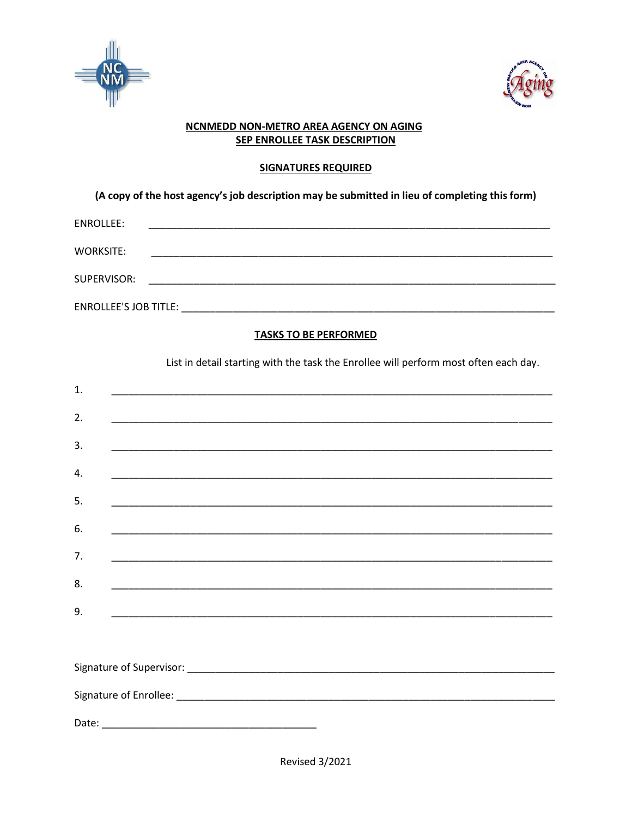



## NCNMEDD NON-METRO AREA AGENCY ON AGING **SEP ENROLLEE TASK DESCRIPTION**

### **SIGNATURES REQUIRED**

(A copy of the host agency's job description may be submitted in lieu of completing this form)

| ENROLLEE:                    |  |  |  |
|------------------------------|--|--|--|
| <b>WORKSITE:</b>             |  |  |  |
| SUPERVISOR:                  |  |  |  |
| <b>ENROLLEE'S JOB TITLE:</b> |  |  |  |

# **TASKS TO BE PERFORMED**

List in detail starting with the task the Enrollee will perform most often each day.

| 1. |                                                                                                                       |  |
|----|-----------------------------------------------------------------------------------------------------------------------|--|
| 2. |                                                                                                                       |  |
| 3. |                                                                                                                       |  |
| 4. | <u> 1989 - Johann Stoff, amerikansk politiker (d. 1989)</u>                                                           |  |
| 5. |                                                                                                                       |  |
| 6. | ,我们也不能在这里的时候,我们也不能在这里的时候,我们也不能会在这里,我们也不能会不能会不能会不能会。""我们的人,我们也不能会不能会不能会不能会不能会不能会不                                      |  |
| 7. | <u> 1989 - Johann Stoff, amerikansk politiker (d. 1989)</u>                                                           |  |
| 8. |                                                                                                                       |  |
| 9. | <u> 1990 - Johann Harry Harry Harry Harry Harry Harry Harry Harry Harry Harry Harry Harry Harry Harry Harry Harry</u> |  |
|    |                                                                                                                       |  |
|    |                                                                                                                       |  |
|    |                                                                                                                       |  |
|    |                                                                                                                       |  |
|    |                                                                                                                       |  |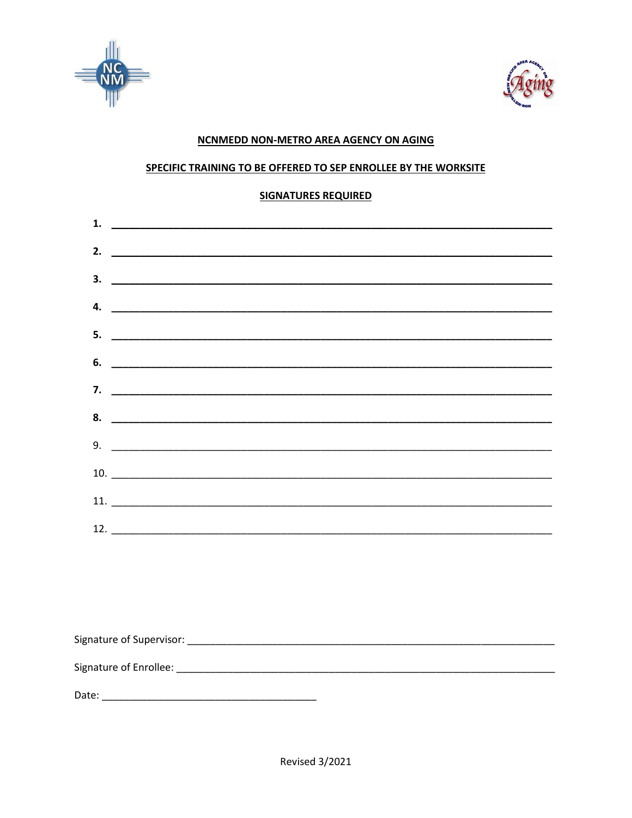



## NCNMEDD NON-METRO AREA AGENCY ON AGING

### SPECIFIC TRAINING TO BE OFFERED TO SEP ENROLLEE BY THE WORKSITE

### **SIGNATURES REQUIRED**

|  | ________________ |
|--|------------------|
|  |                  |
|  |                  |
|  |                  |
|  |                  |
|  |                  |
|  |                  |